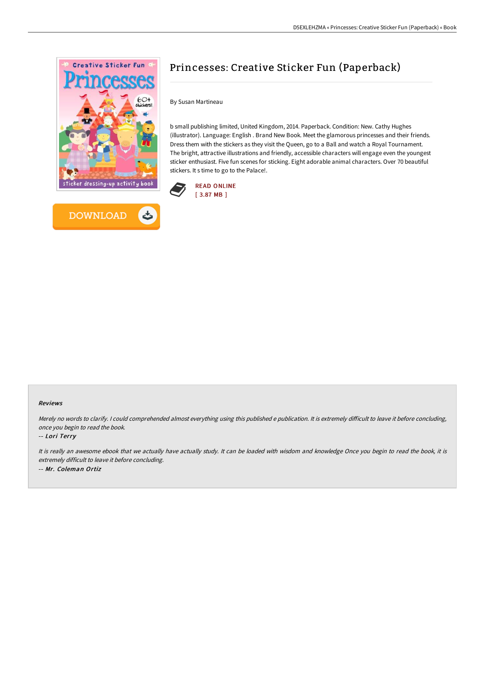



## Princesses: Creative Sticker Fun (Paperback)

By Susan Martineau

b small publishing limited, United Kingdom, 2014. Paperback. Condition: New. Cathy Hughes (illustrator). Language: English . Brand New Book. Meet the glamorous princesses and their friends. Dress them with the stickers as they visit the Queen, go to a Ball and watch a Royal Tournament. The bright, attractive illustrations and friendly, accessible characters will engage even the youngest sticker enthusiast. Five fun scenes for sticking. Eight adorable animal characters. Over 70 beautiful stickers. It s time to go to the Palace!.



## Reviews

Merely no words to clarify. I could comprehended almost everything using this published e publication. It is extremely difficult to leave it before concluding, once you begin to read the book.

-- Lori Terry

It is really an awesome ebook that we actually have actually study. It can be loaded with wisdom and knowledge Once you begin to read the book, it is extremely difficult to leave it before concluding. -- Mr. Coleman Ortiz